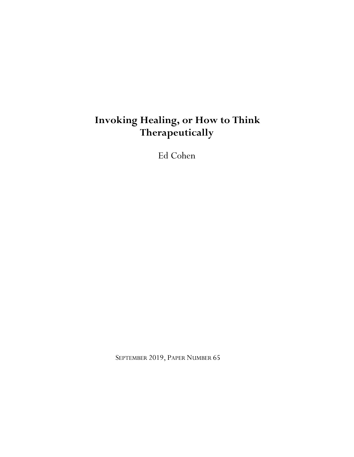# **Invoking Healing, or How to Think Therapeutically**

Ed Cohen

SEPTEMBER 2019, PAPER NUMBER 65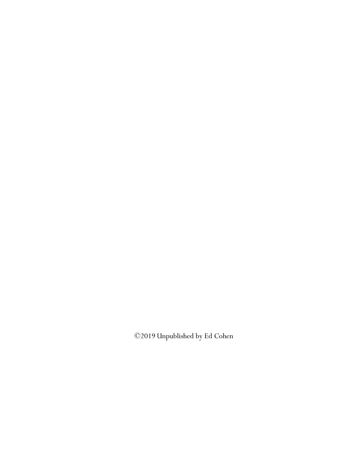©2019 Unpublished by Ed Cohen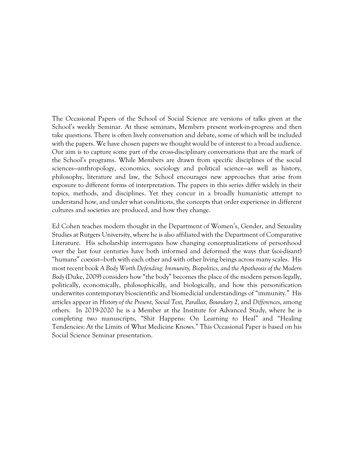The Occasional Papers of the School of Social Science are versions of talks given at the School's weekly Seminar. At these seminars, Members present work-in-progress and then take questions. There is often lively conversation and debate, some of which will be included with the papers. We have chosen papers we thought would be of interest to a broad audience. Our aim is to capture some part of the cross-disciplinary conversations that are the mark of the School's programs. While Members are drawn from specific disciplines of the social sciences—anthropology, economics, sociology and political science—as well as history, philosophy, literature and law, the School encourages new approaches that arise from exposure to different forms of interpretation. The papers in this series differ widely in their topics, methods, and disciplines. Yet they concur in a broadly humanistic attempt to understand how, and under what conditions, the concepts that order experience in different cultures and societies are produced, and how they change.

Ed Cohen teaches modern thought in the Department of Women's, Gender, and Sexuality Studies at Rutgers University, where he is also affiliated with the Department of Comparative Literature. His scholarship interrogates how changing conceptualizations of personhood over the last four centuries have both informed and deformed the ways that (soi-disant) "humans" coexist—both with each other and with other living beings across many scales. His most recent book *A Body Worth Defending: Immunity, Biopolitics, and the Apotheosis of the Modern Body* (Duke, 2009) considers how "the body" becomes the place of the modern person legally, politically, economically, philosophically, and biologically, and how this personification underwrites contemporary bioscientific and biomedicial understandings of "immunity." His articles appear in *History of the Present, Social Text, Parallax, Boundary 2,* and *Differences*, among others. In 2019-2020 he is a Member at the Institute for Advanced Study, where he is completing two manuscripts, "Shit Happens: On Learning to Heal" and "Healing Tendencies: At the Limits of What Medicine Knows." This Occasional Paper is based on his Social Science Seminar presentation.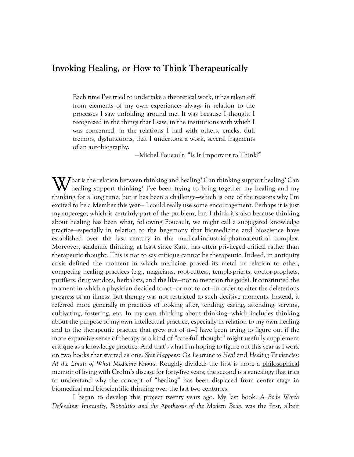## **Invoking Healing, or How to Think Therapeutically**

Each time I've tried to undertake a theoretical work, it has taken off from elements of my own experience: always in relation to the processes I saw unfolding around me. It was because I thought I recognized in the things that I saw, in the institutions with which I was concerned, in the relations I had with others, cracks, dull tremors, dysfunctions, that I undertook a work, several fragments of an autobiography.

—Michel Foucault, "Is It Important to Think?"

What is the relation between thinking and healing? Can thinking support healing? Can healing support thinking? I've been trying to bring together my healing and my healing support thinking? I've been trying to bring together my healing and my thinking for a long time, but it has been a challenge—which is one of the reasons why I'm excited to be a Member this year— I could really use some encouragement. Perhaps it is just my superego, which is certainly part of the problem, but I think it's also because thinking about healing has been what, following Foucault, we might call a subjugated knowledge practice—especially in relation to the hegemony that biomedicine and bioscience have established over the last century in the medical-industrial-pharmaceutical complex. Moreover, academic thinking, at least since Kant, has often privileged critical rather than therapeutic thought. This is not to say critique cannot be therapeutic. Indeed, in antiquity crisis defined the moment in which medicine proved its metal in relation to other, competing healing practices (e.g., magicians, root-cutters, temple-priests, doctor-prophets, purifiers, drug vendors, herbalists, and the like—not to mention the gods). It constituted the moment in which a physician decided to act—or not to act—in order to alter the deleterious progress of an illness. But therapy was not restricted to such decisive moments. Instead, it referred more generally to practices of looking after, tending, caring, attending, serving, cultivating, fostering, etc. In my own thinking about thinking—which includes thinking about the purpose of my own intellectual practice, especially in relation to my own healing and to the therapeutic practice that grew out of it—I have been trying to figure out if the more expansive sense of therapy as a kind of "care-full thought" might usefully supplement critique as a knowledge practice. And that's what I'm hoping to figure out this year as I work on two books that started as one: *Shit Happens: On Learning to Heal* and *Healing Tendencies: At the Limits of What Medicine Knows*. Roughly divided: the first is more a philosophical memoir of living with Crohn's disease for forty-five years; the second is a genealogy that tries to understand why the concept of "healing" has been displaced from center stage in biomedical and bioscientific thinking over the last two centuries.

I began to develop this project twenty years ago. My last book: *A Body Worth Defending: Immunity, Biopolitics and the Apotheosis of the Modern Body*, was the first, albeit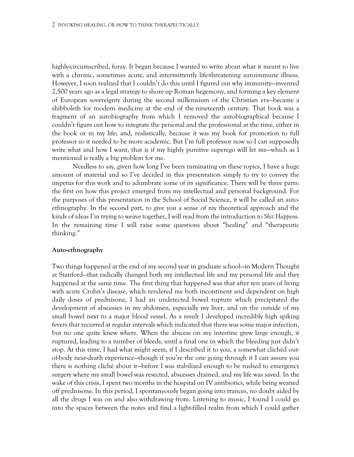highly-circumscribed, foray. It began because I wanted to write about what it meant to live with a chronic, sometimes acute, and intermittently life-threatening autoimmune illness. However, I soon realized that I couldn't do this until I figured out why immunity—invented 2,500 years ago as a legal strategy to shore up Roman hegemony, and forming a key element of European sovereignty during the second millennium of the Christian era—became a shibboleth for modern medicine at the end of the nineteenth century. That book was a fragment of an autobiography from which I removed the autobiographical because I couldn't figure out how to integrate the personal and the professional at the time, either in the book or in my life; and, realistically, because it was my book for promotion to full professor so it needed to be more academic. But I'm full professor now so I can supposedly write what and how I want, that is if my highly punitive superego will let me—which as I mentioned is really a big problem for me.

Needless to say, given how long I've been ruminating on these topics, I have a huge amount of material and so I've decided in this presentation simply to try to convey the impetus for this work and to adumbrate some of its significance. There will be three parts: the first on how this project emerged from my intellectual and personal background. For the purposes of this presentation in the School of Social Science, it will be called an autoethnography. In the second part, to give you a sense of my theoretical approach and the kinds of ideas I'm trying to weave together, I will read from the introduction to *Shit Happen*s. In the remaining time I will raise some questions about "healing" and "therapeutic thinking."

#### **Auto-ethnography**

Two things happened at the end of my second year in graduate school—in Modern Thought at Stanford—that radically changed both my intellectual life and my personal life and they happened at the same time. The first thing that happened was that after ten years of living with acute Crohn's disease, which rendered me both incontinent and dependent on high daily doses of prednisone, I had an undetected bowel rupture which precipitated the development of abscesses in my abdomen, especially my liver, and on the outside of my small bowel next to a major blood vessel. As a result I developed incredibly high spiking fevers that recurred at regular intervals which indicated that there was some major infection, but no one quite knew where. When the abscess on my intestine grew large enough, it ruptured, leading to a number of bleeds, until a final one in which the bleeding just didn't stop. At this time, I had what might seem, if I described it to you, a somewhat clichéd outof-body near-death experience—though if you're the one going through it I can assure you there is nothing cliché about it—before I was stabilized enough to be rushed to emergency surgery where my small bowel was resected, abscesses drained, and my life was saved. In the wake of this crisis, I spent two months in the hospital on IV antibiotics, while being weaned off prednisone. In this period, I spontaneously began going into trances, no doubt aided by all the drugs I was on and also withdrawing from. Listening to music, I found I could go into the spaces between the notes and find a light-filled realm from which I could gather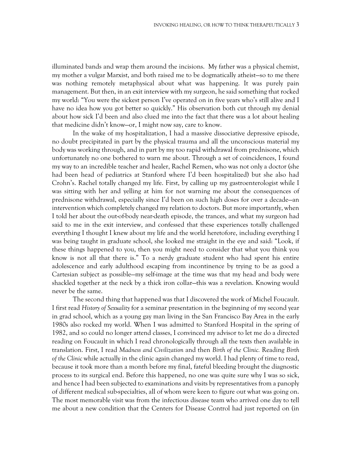illuminated bands and wrap them around the incisions. My father was a physical chemist, my mother a vulgar Marxist, and both raised me to be dogmatically atheist—so to me there was nothing remotely metaphysical about what was happening. It was purely pain management. But then, in an exit interview with my surgeon, he said something that rocked my world: "You were the sickest person I've operated on in five years who's still alive and I have no idea how you got better so quickly." His observation both cut through my denial about how sick I'd been and also clued me into the fact that there was a lot about healing that medicine didn't know—or, I might now say, care to know.

In the wake of my hospitalization, I had a massive dissociative depressive episode, no doubt precipitated in part by the physical trauma and all the unconscious material my body was working through, and in part by my too rapid withdrawal from prednisone, which unfortunately no one bothered to warn me about. Through a set of coincidences, I found my way to an incredible teacher and healer, Rachel Remen, who was not only a doctor (she had been head of pediatrics at Stanford where I'd been hospitalized) but she also had Crohn's. Rachel totally changed my life. First, by calling up my gastroenterologist while I was sitting with her and yelling at him for not warning me about the consequences of prednisone withdrawal, especially since I'd been on such high doses for over a decade—an intervention which completely changed my relation to doctors. But more importantly, when I told her about the out-of-body near-death episode, the trances, and what my surgeon had said to me in the exit interview, and confessed that these experiences totally challenged everything I thought I knew about my life and the world heretofore, including everything I was being taught in graduate school, she looked me straight in the eye and said: "Look, if these things happened to you, then you might need to consider that what you think you know is not all that there is." To a nerdy graduate student who had spent his entire adolescence and early adulthood escaping from incontinence by trying to be as good a Cartesian subject as possible—my self-image at the time was that my head and body were shackled together at the neck by a thick iron collar—this was a revelation. Knowing would never be the same.

The second thing that happened was that I discovered the work of Michel Foucault. I first read *History of Sexuality* for a seminar presentation in the beginning of my second year in grad school, which as a young gay man living in the San Francisco Bay Area in the early 1980s also rocked my world. When I was admitted to Stanford Hospital in the spring of 1982, and so could no longer attend classes, I convinced my advisor to let me do a directed reading on Foucault in which I read chronologically through all the texts then available in translation. First, I read *Madness and Civilization* and then *Birth of the Clinic.* Reading *Birth of the Clinic* while actually in the clinic again changed my world. I had plenty of time to read, because it took more than a month before my final, fateful bleeding brought the diagnostic process to its surgical end. Before this happened, no one was quite sure why I was so sick, and hence I had been subjected to examinations and visits by representatives from a panoply of different medical sub-specialties, all of whom were keen to figure out what was going on. The most memorable visit was from the infectious disease team who arrived one day to tell me about a new condition that the Centers for Disease Control had just reported on (in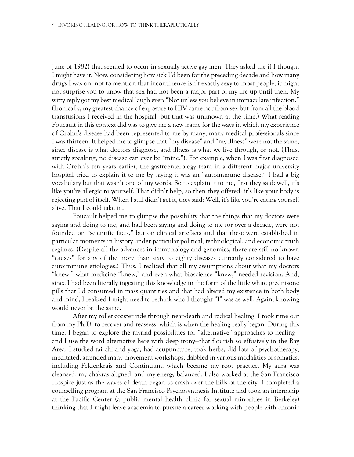June of 1982) that seemed to occur in sexually active gay men. They asked me if I thought I might have it. Now, considering how sick I'd been for the preceding decade and how many drugs I was on, not to mention that incontinence isn't exactly sexy to most people, it might not surprise you to know that sex had not been a major part of my life up until then. My witty reply got my best medical laugh ever: "Not unless you believe in immaculate infection." (Ironically, my greatest chance of exposure to HIV came not from sex but from all the blood transfusions I received in the hospital—but that was unknown at the time.) What reading Foucault in this context did was to give me a new frame for the ways in which my experience of Crohn's disease had been represented to me by many, many medical professionals since I was thirteen. It helped me to glimpse that "my disease" and "my illness" were not the same, since disease is what doctors diagnose, and illness is what we live through, or not. (Thus, strictly speaking, no disease can ever be "mine."). For example, when I was first diagnosed with Crohn's ten years earlier, the gastroenterology team in a different major university hospital tried to explain it to me by saying it was an "autoimmune disease." I had a big vocabulary but that wasn't one of my words. So to explain it to me, first they said: well, it's like you're allergic to yourself. That didn't help, so then they offered: it's like your body is rejecting part of itself. When I still didn't get it, they said: Well, it's like you're eating yourself alive. That I could take in.

Foucault helped me to glimpse the possibility that the things that my doctors were saying and doing to me, and had been saying and doing to me for over a decade, were not founded on "scientific facts," but on clinical artefacts and that these were established in particular moments in history under particular political, technological, and economic truth regimes. (Despite all the advances in immunology and genomics, there are still no known "causes" for any of the more than sixty to eighty diseases currently considered to have autoimmune etiologies.) Thus, I realized that all my assumptions about what my doctors "knew," what medicine "knew," and even what bioscience "knew," needed revision. And, since I had been literally ingesting this knowledge in the form of the little white prednisone pills that I'd consumed in mass quantities and that had altered my existence in both body and mind, I realized I might need to rethink who I thought "I" was as well. Again, knowing would never be the same.

After my roller-coaster ride through near-death and radical healing, I took time out from my Ph.D. to recover and reassess, which is when the healing really began. During this time, I began to explore the myriad possibilities for "alternative" approaches to healing and I use the word alternative here with deep irony—that flourish so effusively in the Bay Area. I studied tai chi and yoga, had acupuncture, took herbs, did lots of psychotherapy, meditated, attended many movement workshops, dabbled in various modalities of somatics, including Feldenkrais and Continuum, which became my root practice. My aura was cleansed, my chakras aligned, and my energy balanced. I also worked at the San Francisco Hospice just as the waves of death began to crash over the hills of the city. I completed a counselling program at the San Francisco Psychosynthesis Institute and took an internship at the Pacific Center (a public mental health clinic for sexual minorities in Berkeley) thinking that I might leave academia to pursue a career working with people with chronic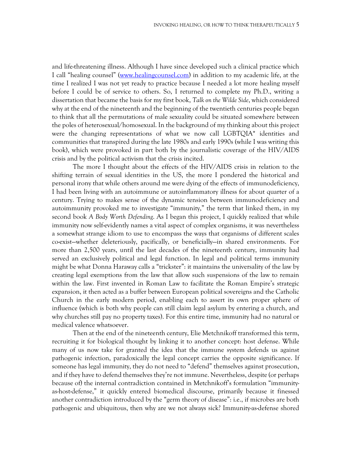and life-threatening illness. Although I have since developed such a clinical practice which I call "healing counsel" [\(www.healingcounsel.com\)](http://www.healingcounsel.com/) in addition to my academic life, at the time I realized I was not yet ready to practice because I needed a lot more healing myself before I could be of service to others. So, I returned to complete my Ph.D., writing a dissertation that became the basis for my first book, *Talk on the Wilde Side*, which considered why at the end of the nineteenth and the beginning of the twentieth centuries people began to think that all the permutations of male sexuality could be situated somewhere between the poles of heterosexual/homosexual. In the background of my thinking about this project were the changing representations of what we now call LGBTQIA\* identities and communities that transpired during the late 1980s and early 1990s (while I was writing this book), which were provoked in part both by the journalistic coverage of the HIV/AIDS crisis and by the political activism that the crisis incited.

The more I thought about the effects of the HIV/AIDS crisis in relation to the shifting terrain of sexual identities in the US, the more I pondered the historical and personal irony that while others around me were dying of the effects of immunodeficiency, I had been living with an autoimmune or autoinflammatory illness for about quarter of a century. Trying to makes sense of the dynamic tension between immunodeficiency and autoimmunity provoked me to investigate "immunity," the term that linked them, in my second book *A Body Worth Defending*. As I began this project, I quickly realized that while immunity now self-evidently names a vital aspect of complex organisms, it was nevertheless a somewhat strange idiom to use to encompass the ways that organisms of different scales co-exist—whether deleteriously, pacifically, or beneficially—in shared environments. For more than 2,500 years, until the last decades of the nineteenth century, immunity had served an exclusively political and legal function. In legal and political terms immunity might be what Donna Haraway calls a "trickster": it maintains the universality of the law by creating legal exemptions from the law that allow such suspensions of the law to remain within the law. First invented in Roman Law to facilitate the Roman Empire's strategic expansion, it then acted as a buffer between European political sovereigns and the Catholic Church in the early modern period, enabling each to assert its own proper sphere of influence (which is both why people can still claim legal asylum by entering a church, and why churches still pay no property taxes). For this entire time, immunity had no natural or medical valence whatsoever.

Then at the end of the nineteenth century, Elie Metchnikoff transformed this term, recruiting it for biological thought by linking it to another concept: host defense. While many of us now take for granted the idea that the immune system defends us against pathogenic infection, paradoxically the legal concept carries the opposite significance. If someone has legal immunity, they do not need to "defend" themselves against prosecution, and if they have to defend themselves they're not immune. Nevertheless, despite (or perhaps because of) the internal contradiction contained in Metchnikoff's formulation "immunityas-host-defense," it quickly entered biomedical discourse, primarily because it finessed another contradiction introduced by the "germ theory of disease": i.e., if microbes are both pathogenic and ubiquitous, then why are we not always sick? Immunity-as-defense shored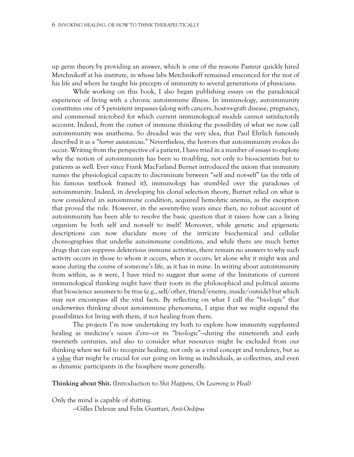up germ theory by providing an answer, which is one of the reasons Pasteur quickly hired Metchnikoff at his institute, in whose labs Metchnikoff remained ensconced for the rest of his life and where he taught his precepts of immunity to several generations of physicians.

While working on this book, I also began publishing essays on the paradoxical experience of living with a chronic autoimmune illness. In immunology, autoimmunity constitutes one of 5 persistent impasses (along with cancers, host-vs-graft disease, pregnancy, and commensal microbes) for which current immunological models cannot satisfactorily account. Indeed, from the outset of immune thinking the possibility of what we now call autoimmunity was anathema. So dreaded was the very idea, that Paul Ehrlich famously described it as a "*horror autotoxicus*." Nevertheless, the horrors that autoimmunity evokes do occur. Writing from the perspective of a patient, I have tried in a number of essays to explore why the notion of autoimmunity has been so troubling, not only to bio-scientists but to patients as well. Ever since Frank MacFarland Burnet introduced the axiom that immunity names the physiological capacity to discriminate between "self and not-self" (as the title of his famous textbook framed it), immunology has stumbled over the paradoxes of autoimmunity. Indeed, in developing his clonal selection theory, Burnet relied on what is now considered an autoimmune condition, acquired hemolytic anemia, as the exception that proved the rule. However, in the seventy-five years since then, no robust account of autoimmunity has been able to resolve the basic question that it raises: how can a living organism be both self and not-self to itself? Moreover, while genetic and epigenetic descriptions can now elucidate more of the intricate biochemical and cellular choreographies that underlie autoimmune conditions, and while there are much better drugs that can suppress deleterious immune activities, there remain no answers to why such activity occurs in those to whom it occurs, when it occurs, let alone why it might wax and wane during the course of someone's life, as it has in mine. In writing about autoimmunity from within, as it were, I have tried to suggest that some of the limitations of current immunological thinking might have their roots in the philosophical and political axioms that bioscience assumes to be true (e.g., self/other, friend/enemy, inside/outside) but which may not encompass all the vital facts. By reflecting on what I call the "bio-logic" that underwrites thinking about autoimmune phenomena, I argue that we might expand the possibilities for living with them, if not healing from them.

The projects I'm now undertaking try both to explore how immunity supplanted healing as medicine's *raison d'etre*—or its "bio-logic"—during the nineteenth and early twentieth centuries, and also to consider what resources might be excluded from our thinking when we fail to recognize healing, not only as a vital concept and tendency, but as a value that might be crucial for our going on living as individuals, as collectives, and even as dynamic participants in the biosphere more generally.

**Thinking about Shit. (**Introduction to *Shit Happens, On Learning to Heal)*

Only the mind is capable of shitting. —Gilles Deleuze and Felix Guattari, *Anti-Oedipus*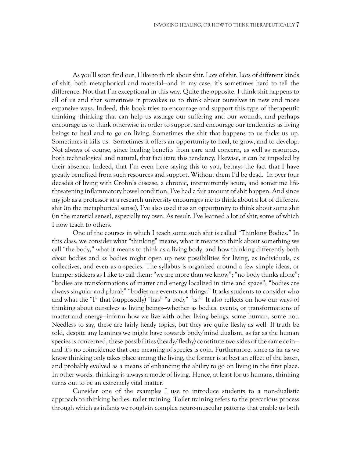As you'll soon find out, I like to think about shit. Lots of shit. Lots of different kinds of shit, both metaphorical and material—and in my case, it's sometimes hard to tell the difference. Not that I'm exceptional in this way. Quite the opposite. I think shit happens to all of us and that sometimes it provokes us to think about ourselves in new and more expansive ways. Indeed, this book tries to encourage and support this type of therapeutic thinking—thinking that can help us assuage our suffering and our wounds, and perhaps encourage us to think otherwise in order to support and encourage our tendencies as living beings to heal and to go on living. Sometimes the shit that happens to us fucks us up. Sometimes it kills us. Sometimes it offers an opportunity to heal, to grow, and to develop. Not always of course, since healing benefits from care and concern, as well as resources, both technological and natural, that facilitate this tendency; likewise, it can be impeded by their absence. Indeed, that I'm even here saying this to you, betrays the fact that I have greatly benefited from such resources and support. Without them I'd be dead. In over four decades of living with Crohn's disease, a chronic, intermittently acute, and sometime lifethreatening inflammatory bowel condition, I've had a fair amount of shit happen. And since my job as a professor at a research university encourages me to think about a lot of different shit (in the metaphorical sense), I've also used it as an opportunity to think about some shit (in the material sense), especially my own. As result, I've learned a lot of shit, some of which I now teach to others.

One of the courses in which I teach some such shit is called "Thinking Bodies." In this class, we consider what "thinking" means, what it means to think about something we call "the body," what it means to think as a living body, and how thinking differently both *about* bodies and *as* bodies might open up new possibilities for living, as individuals, as collectives, and even as a species. The syllabus is organized around a few simple ideas, or bumper stickers as I like to call them: "we are more than we know"; "no body thinks alone"; "bodies are transformations of matter and energy localized in time and space"; "bodies are always singular and plural;" "bodies are events not things." It asks students to consider who and what the "I" that (supposedly) "has" "a body" "is." It also reflects on how our ways of thinking about ourselves as living beings—whether as bodies, events, or transformations of matter and energy—inform how we live with other living beings, some human, some not. Needless to say, these are fairly heady topics, but they are quite fleshy as well. If truth be told, despite any leanings we might have towards body/mind dualism, as far as the human species is concerned, these possibilities (heady/fleshy) constitute two sides of the same coin and it's no coincidence that one meaning of species is coin. Furthermore, since as far as we know thinking only takes place among the living, the former is at best an effect of the latter, and probably evolved as a means of enhancing the ability to go on living in the first place. In other words, thinking is always a mode of living. Hence, at least for us humans, thinking turns out to be an extremely vital matter.

Consider one of the examples I use to introduce students to a non-dualistic approach to thinking bodies: toilet training. Toilet training refers to the precarious process through which as infants we rough-in complex neuro-muscular patterns that enable us both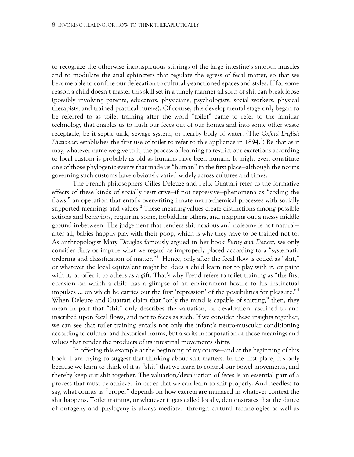to recognize the otherwise inconspicuous stirrings of the large intestine's smooth muscles and to modulate the anal sphincters that regulate the egress of fecal matter, so that we become able to confine our defecation to culturally-sanctioned spaces and styles. If for some reason a child doesn't master this skill set in a timely manner all sorts of shit can break loose (possibly involving parents, educators, physicians, psychologists, social workers, physical therapists, and trained practical nurses). Of course, this developmental stage only began to be referred to as toilet training after the word "toilet" came to refer to the familiar technology that enables us to flush our feces out of our homes and into some other waste receptacle, be it septic tank, sewage system, or nearby body of water. (The *Oxford English*  Dictionary establishes the first use of toilet to refer to this appliance in [1](#page-20-0)894.<sup>1</sup>) Be that as it may, whatever name we give to it, the process of learning to restrict our excretions according to local custom is probably as old as humans have been human. It might even constitute one of those phylogenic events that made us "human" in the first place—although the norms governing such customs have obviously varied widely across cultures and times.

The French philosophers Gilles Deleuze and Felix Guattari refer to the formative effects of these kinds of socially restrictive—if not repressive—phenomena as "coding the flows," an operation that entails overwriting innate neuro-chemical processes with socially supported meanings and values.<sup>[2](#page-20-1)</sup> These meaning-values create distinctions among possible actions and behaviors, requiring some, forbidding others, and mapping out a messy middle ground in-between. The judgement that renders shit noxious and noisome is not natural after all, babies happily play with their poop, which is why they have to be trained not to. As anthropologist Mary Douglas famously argued in her book *Purity and Danger*, we only consider dirty or impure what we regard as improperly placed according to a "systematic ordering and classification of matter."<sup>[3](#page-20-2)</sup> Hence, only after the fecal flow is coded as "shit," or whatever the local equivalent might be, does a child learn not to play with it, or paint with it, or offer it to others as a gift. That's why Freud refers to toilet training as "the first occasion on which a child has a glimpse of an environment hostile to his instinctual impulses … on which he carries out the first 'repression' of the possibilities for pleasure."[4](#page-20-3) When Deleuze and Guattari claim that "only the mind is capable of shitting," then, they mean in part that "shit" only describes the valuation, or devaluation, ascribed to and inscribed upon fecal flows, and not to feces as such. If we consider these insights together, we can see that toilet training entails not only the infant's neuro-muscular conditioning according to cultural and historical norms, but also its incorporation of those meanings and values that render the products of its intestinal movements shitty.

In offering this example at the beginning of my course—and at the beginning of this book—I am trying to suggest that thinking about shit matters. In the first place, it's only because we learn to think of it as "shit" that we learn to control our bowel movements, and thereby keep our shit together. The valuation/devaluation of feces is an essential part of a process that must be achieved in order that we can learn to shit properly. And needless to say, what counts as "proper" depends on how excreta are managed in whatever context the shit happens. Toilet training, or whatever it gets called locally, demonstrates that the dance of ontogeny and phylogeny is always mediated through cultural technologies as well as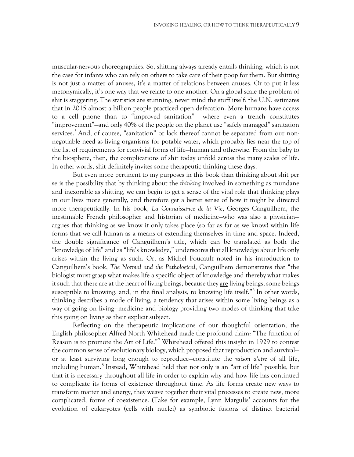muscular-nervous choreographies. So, shitting always already entails thinking, which is not the case for infants who can rely on others to take care of their poop for them. But shitting is not just a matter of anuses, it's a matter of relations between anuses. Or to put it less metonymically, it's one way that we relate to one another. On a global scale the problem of shit is staggering. The statistics are stunning, never mind the stuff itself: the U.N. estimates that in 2015 almost a billion people practiced open defecation. More humans have access to a cell phone than to "improved sanitation"— where even a trench constitutes "improvement"—and only 40% of the people on the planet use "safely managed" sanitation services.<sup>[5](#page-20-4)</sup> And, of course, "sanitation" or lack thereof cannot be separated from our nonnegotiable need as living organisms for potable water, which probably lies near the top of the list of requirements for convivial forms of life—human and otherwise. From the baby to the biosphere, then, the complications of shit today unfold across the many scales of life. In other words, shit definitely invites some therapeutic thinking these days.

But even more pertinent to my purposes in this book than thinking about shit per se is the possibility that by thinking about the *thinking* involved in something as mundane and inexorable as shitting, we can begin to get a sense of the vital role that thinking plays in our lives more generally, and therefore get a better sense of how it might be directed more therapeutically. In his book, *La Connaissance de la Vie*, Georges Canguilhem, the inestimable French philosopher and historian of medicine—who was also a physician argues that thinking as we know it only takes place (so far as far as we know) within life forms that we call human as a means of extending themselves in time and space. Indeed, the double significance of Canguilhem's title, which can be translated as both the "knowledge of life" and as "life's knowledge," underscores that all knowledge about life only arises within the living as such. Or, as Michel Foucault noted in his introduction to Canguilhem's book, *The Normal and the Pathological*, Canguilhem demonstrates that "the biologist must grasp what makes life a specific object of knowledge and thereby what makes it such that there are at the heart of living beings, because they are living beings, some beings susceptible to knowing, and, in the final analysis, to knowing life itself."<sup>[6](#page-20-5)</sup> In other words, thinking describes a mode of living, a tendency that arises within some living beings as a way of going on living—medicine and biology providing two modes of thinking that take this going on living as their explicit subject.

Reflecting on the therapeutic implications of our thoughtful orientation, the English philosopher Alfred North Whitehead made the profound claim: "The function of Reason is to promote the Art of Life."<sup>[7](#page-20-6)</sup> Whitehead offered this insight in 1929 to contest the common sense of evolutionary biology, which proposed that reproduction and survival or at least surviving long enough to reproduce—constitute the *raison d'etre* of all life, including human.<sup>[8](#page-20-7)</sup> Instead, Whitehead held that not only is an "art of life" possible, but that it is necessary throughout all life in order to explain why and how life has continued to complicate its forms of existence throughout time. As life forms create new ways to transform matter and energy, they weave together their vital processes to create new, more complicated, forms of coexistence. (Take for example, Lynn Margulis' accounts for the evolution of eukaryotes (cells with nuclei) as symbiotic fusions of distinct bacterial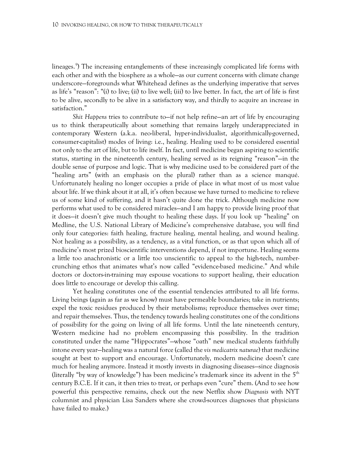lineages.<sup>[9](#page-20-8)</sup>) The increasing entanglements of these increasingly complicated life forms with each other and with the biosphere as a whole—as our current concerns with climate change underscore—foregrounds what Whitehead defines as the underlying imperative that serves as life's "reason": "(i) to live; (ii) to live well; (iii) to live better. In fact, the art of life is first to be alive, secondly to be alive in a satisfactory way, and thirdly to acquire an increase in satisfaction."

*Shit Happens* tries to contribute to—if not help refine—an art of life by encouraging us to think therapeutically about something that remains largely underappreciated in contemporary Western (a.k.a. neo-liberal, hyper-individualist, algorithmically-governed, consumer-capitalist) modes of living: i.e., healing. Healing used to be considered essential not only to the art of life, but to life itself. In fact, until medicine began aspiring to scientific status, starting in the nineteenth century, healing served as its reigning "reason"—in the double sense of purpose and logic. That is why medicine used to be considered part of the "healing arts" (with an emphasis on the plural) rather than as a science manqué. Unfortunately healing no longer occupies a pride of place in what most of us most value about life. If we think about it at all, it's often because we have turned to medicine to relieve us of some kind of suffering, and it hasn't quite done the trick. Although medicine now performs what used to be considered miracles—and I am happy to provide living proof that it does—it doesn't give much thought to healing these days. If you look up "healing" on Medline, the U.S. National Library of Medicine's comprehensive database, you will find only four categories: faith healing, fracture healing, mental healing, and wound healing. Not healing as a possibility, as a tendency, as a vital function, or as that upon which all of medicine's most prized bioscientific interventions depend, if not importune. Healing seems a little too anachronistic or a little too unscientific to appeal to the high-tech, numbercrunching ethos that animates what's now called "evidence-based medicine." And while doctors or doctors-in-training may espouse vocations to support healing, their education does little to encourage or develop this calling.

Yet healing constitutes one of the essential tendencies attributed to all life forms. Living beings (again as far as we know) must have permeable boundaries; take in nutrients; expel the toxic residues produced by their metabolisms; reproduce themselves over time; and repair themselves. Thus, the tendency towards healing constitutes one of the conditions of possibility for the going on living of all life forms. Until the late nineteenth century, Western medicine had no problem encompassing this possibility. In the tradition constituted under the name "Hippocrates"—whose "oath" new medical students faithfully intone every year—healing was a natural force (called the *vis medicatrix naturae*) that medicine sought at best to support and encourage. Unfortunately, modern medicine doesn't care much for healing anymore. Instead it mostly invests in diagnosing diseases—since diagnosis (literally "by way of knowledge") has been medicine's trademark since its advent in the  $5<sup>th</sup>$ century B.C.E. If it can, it then tries to treat, or perhaps even "cure" them. (And to see how powerful this perspective remains, check out the new Netflix show *Diagnosis* with NYT columnist and physician Lisa Sanders where she crowd-sources diagnoses that physicians have failed to make.)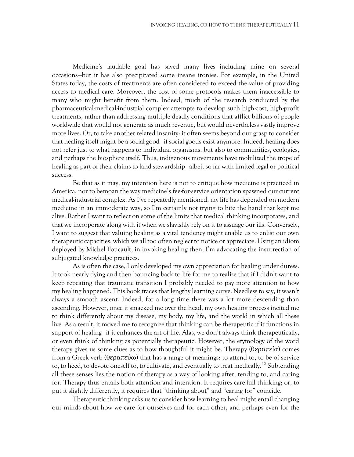Medicine's laudable goal has saved many lives—including mine on several occasions—but it has also precipitated some insane ironies. For example, in the United States today, the costs of treatments are often considered to exceed the value of providing access to medical care. Moreover, the cost of some protocols makes them inaccessible to many who might benefit from them. Indeed, much of the research conducted by the pharmaceutical-medical-industrial complex attempts to develop such high-cost, high-profit treatments, rather than addressing multiple deadly conditions that afflict billions of people worldwide that would not generate as much revenue, but would nevertheless vastly improve more lives. Or, to take another related insanity: it often seems beyond our grasp to consider that healing itself might be a social good—if social goods exist anymore. Indeed, healing does not refer just to what happens to individual organisms, but also to communities, ecologies, and perhaps the biosphere itself. Thus, indigenous movements have mobilized the trope of healing as part of their claims to land stewardship—albeit so far with limited legal or political success.

Be that as it may, my intention here is not to critique how medicine is practiced in America, nor to bemoan the way medicine's fee-for-service orientation spawned our current medical-industrial complex. As I've repeatedly mentioned, my life has depended on modern medicine in an immoderate way, so I'm certainly not trying to bite the hand that kept me alive. Rather I want to reflect on some of the limits that medical thinking incorporates, and that we incorporate along with it when we slavishly rely on it to assuage our ills. Conversely, I want to suggest that valuing healing as a vital tendency might enable us to enlist our own therapeutic capacities, which we all too often neglect to notice or appreciate. Using an idiom deployed by Michel Foucault, in invoking healing then, I'm advocating the insurrection of subjugated knowledge practices.

As is often the case, I only developed my own appreciation for healing under duress. It took nearly dying and then bouncing back to life for me to realize that if I didn't want to keep repeating that traumatic transition I probably needed to pay more attention to how my healing happened. This book traces that lengthy learning curve. Needless to say, it wasn't always a smooth ascent. Indeed, for a long time there was a lot more descending than ascending. However, once it smacked me over the head, my own healing process incited me to think differently about my disease, my body, my life, and the world in which all these live. As a result, it moved me to recognize that thinking can be therapeutic if it functions in support of healing—if it enhances the art of life. Alas, we don't always think therapeutically, or even think of thinking as potentially therapeutic. However, the etymology of the word therapy gives us some clues as to how thoughtful it might be. Therapy (θεραπεία) comes from a Greek verb (θεραπεύω) that has a range of meanings: to attend to, to be of service to, to heed, to devote oneself to, to cultivate, and eventually to treat medically.<sup>[10](#page-20-9)</sup> Subtending all these senses lies the notion of therapy as a way of looking after, tending to, and caring for. Therapy thus entails both attention and intention. It requires care-full thinking; or, to put it slightly differently, it requires that "thinking about" and "caring for" coincide.

Therapeutic thinking asks us to consider how learning to heal might entail changing our minds about how we care for ourselves and for each other, and perhaps even for the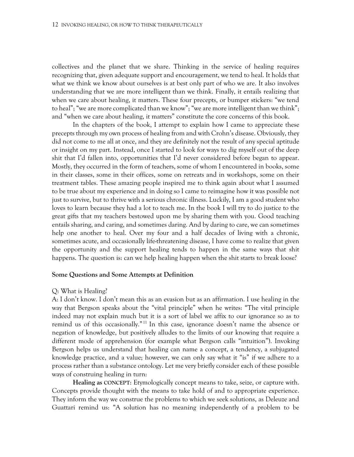collectives and the planet that we share. Thinking in the service of healing requires recognizing that, given adequate support and encouragement, we tend to heal. It holds that what we think we know about ourselves is at best only part of who we are. It also involves understanding that we are more intelligent than we think. Finally, it entails realizing that when we care about healing, it matters. These four precepts, or bumper stickers: "we tend to heal"; "we are more complicated than we know"; "we are more intelligent than we think"; and "when we care about healing, it matters" constitute the core concerns of this book.

In the chapters of the book, I attempt to explain how I came to appreciate these precepts through my own process of healing from and with Crohn's disease. Obviously, they did not come to me all at once, and they are definitely not the result of any special aptitude or insight on my part. Instead, once I started to look for ways to dig myself out of the deep shit that I'd fallen into, opportunities that I'd never considered before began to appear. Mostly, they occurred in the form of teachers, some of whom I encountered in books, some in their classes, some in their offices, some on retreats and in workshops, some on their treatment tables. These amazing people inspired me to think again about what I assumed to be true about my experience and in doing so I came to reimagine how it was possible not just to survive, but to thrive with a serious chronic illness. Luckily, I am a good student who loves to learn because they had a lot to teach me. In the book I will try to do justice to the great gifts that my teachers bestowed upon me by sharing them with you. Good teaching entails sharing, and caring, and sometimes daring. And by daring to care, we can sometimes help one another to heal. Over my four and a half decades of living with a chronic, sometimes acute, and occasionally life-threatening disease, I have come to realize that given the opportunity and the support healing tends to happen in the same ways that shit happens. The question is: can we help healing happen when the shit starts to break loose?

#### **Some Questions and Some Attempts at Definition**

#### Q: What is Healing?

A: I don't know. I don't mean this as an evasion but as an affirmation. I use healing in the way that Bergson speaks about the "vital principle" when he writes: "The vital principle indeed may not explain much but it is a sort of label we affix to our ignorance so as to remind us of this occasionally."<sup>[11](#page-20-10)</sup> In this case, ignorance doesn't name the absence or negation of knowledge, but positively alludes to the limits of our knowing that require a different mode of apprehension (for example what Bergson calls "intuition"). Invoking Bergson helps us understand that healing can name a concept, a tendency, a subjugated knowledge practice, and a value; however, we can only say what it "is" if we adhere to a process rather than a substance ontology. Let me very briefly consider each of these possible ways of construing healing in turn:

**Healing as CONCEPT**: Etymologically concept means to take, seize, or capture with. Concepts provide thought with the means to take hold of and to appropriate experience. They inform the way we construe the problems to which we seek solutions, as Deleuze and Guattari remind us: "A solution has no meaning independently of a problem to be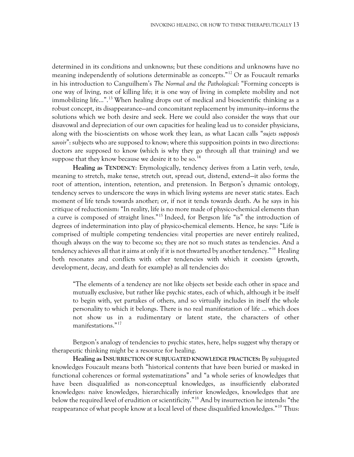determined in its conditions and unknowns; but these conditions and unknowns have no meaning independently of solutions determinable as concepts."<sup>[12](#page-20-11)</sup> Or as Foucault remarks in his introduction to Canguilhem's *The Normal and the Pathological*: "Forming concepts is one way of living, not of killing life; it is one way of living in complete mobility and not immobilizing life…".[13](#page-20-12) When healing drops out of medical and bioscientific thinking as a robust concept, its disappearance—and concomitant replacement by immunity—informs the solutions which we both desire and seek. Here we could also consider the ways that our disavowal and depreciation of our own capacities for healing lead us to consider physicians, along with the bio-scientists on whose work they lean, as what Lacan calls "*sujets supposés*  savoir": subjects who are supposed to know; where this supposition points in two directions: doctors are supposed to know (which is why they go through all that training) and we suppose that they know because we desire it to be so.<sup>[14](#page-20-13)</sup>

**Healing as TENDENCY**: Etymologically, tendency derives from a Latin verb, *tendo*, meaning to stretch, make tense, stretch out, spread out, distend, extend—it also forms the root of attention, intention, retention, and pretension. In Bergson's dynamic ontology, tendency serves to underscore the ways in which living systems are never static states. Each moment of life tends towards another; or, if not it tends towards death. As he says in his critique of reductionism: "In reality, life is no more made of physico-chemical elements than a curve is composed of straight lines."<sup>[15](#page-20-14)</sup> Indeed, for Bergson life "is" the introduction of degrees of indetermination into play of physico-chemical elements. Hence, he says: "Life is comprised of multiple competing tendencies: vital properties are never entirely realized, though always on the way to become so; they are not so much states as tendencies. And a tendency achieves all that it aims at only if it is not thwarted by another tendency."<sup>[16](#page-20-15)</sup> Healing both resonates and conflicts with other tendencies with which it coexists (growth, development, decay, and death for example) as all tendencies do:

"The elements of a tendency are not like objects set beside each other in space and mutually exclusive, but rather like psychic states, each of which, although it be itself to begin with, yet partakes of others, and so virtually includes in itself the whole personality to which it belongs. There is no real manifestation of life … which does not show us in a rudimentary or latent state, the characters of other manifestations."[17](#page-20-16)

Bergson's analogy of tendencies to psychic states, here, helps suggest why therapy or therapeutic thinking might be a resource for healing.

**Healing as INSURRECTION OF SUBJUGATED KNOWLEDGE PRACTICES:** By subjugated knowledges Foucault means both "historical contents that have been buried or masked in functional coherences or formal systematizations" and "a whole series of knowledges that have been disqualified as non-conceptual knowledges, as insufficiently elaborated knowledges: naive knowledges, hierarchically inferior knowledges, knowledges that are below the required level of erudition or scientificity."[18](#page-20-17) And by insurrection he intends: "the reappearance of what people know at a local level of these disqualified knowledges."<sup>[19](#page-20-18)</sup> Thus: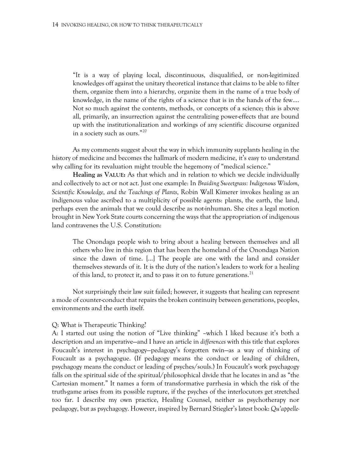"It is a way of playing local, discontinuous, disqualified, or non-legitimized knowledges off against the unitary theoretical instance that claims to be able to filter them, organize them into a hierarchy, organize them in the name of a true body of knowledge, in the name of the rights of a science that is in the hands of the few…. Not so much against the contents, methods, or concepts of a science; this is above all, primarily, an insurrection against the centralizing power-effects that are bound up with the institutionalization and workings of any scientific discourse organized in a society such as ours."[20](#page-20-19)

As my comments suggest about the way in which immunity supplants healing in the history of medicine and becomes the hallmark of modern medicine, it's easy to understand why calling for its revaluation might trouble the hegemony of "medical science."

**Healing as VALUE:** As that which and in relation to which we decide individually and collectively to act or not act. Just one example: In *Braiding Sweetgrass: Indigenous Wisdom, Scientific Knowledge, and the Teachings of Plants*, Robin Wall Kimerer invokes healing as an indigenous value ascribed to a multiplicity of possible agents: plants, the earth, the land, perhaps even the animals that we could describe as not-inhuman. She cites a legal motion brought in New York State courts concerning the ways that the appropriation of indigenous land contravenes the U.S. Constitution:

The Onondaga people wish to bring about a healing between themselves and all others who live in this region that has been the homeland of the Onondaga Nation since the dawn of time. […] The people are one with the land and consider themselves stewards of it. It is the duty of the nation's leaders to work for a healing of this land, to protect it, and to pass it on to future generations.<sup>[21](#page-20-20)</sup>

Not surprisingly their law suit failed; however, it suggests that healing can represent a mode of counter-conduct that repairs the broken continuity between generations, peoples, environments and the earth itself.

#### Q: What is Therapeutic Thinking?

A: I started out using the notion of "Live thinking" –which I liked because it's both a description and an imperative—and I have an article in *differences* with this title that explores Foucault's interest in psychagogy—pedagogy's forgotten twin—as a way of thinking of Foucault as a psychagogue. (If pedagogy means the conduct or leading of children, psychagogy means the conduct or leading of psyches/souls.) In Foucault's work psychagogy falls on the spiritual side of the spiritual/philosophical divide that he locates in and as "the Cartesian moment." It names a form of transformative parrhesia in which the risk of the truth-game arises from its possible rupture, if the psyches of the interlocutors get stretched too far. I describe my own practice, Healing Counsel, neither as psychotherapy nor pedagogy, but as psychagogy. However, inspired by Bernard Stiegler's latest book: *Qu'appelle-*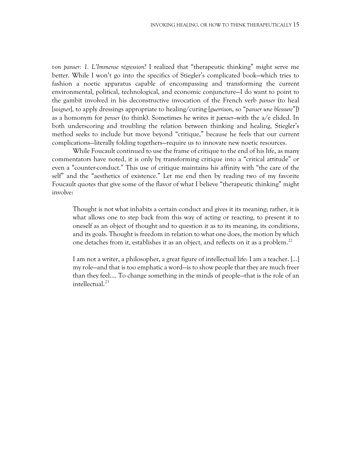*t-on panser: 1. L'Immense régression*? I realized that "therapeutic thinking" might serve me better. While I won't go into the specifics of Stiegler's complicated book—which tries to fashion a noetic apparatus capable of encompassing and transforming the current environmental, political, technological, and economic conjuncture—I do want to point to the gambit involved in his deconstructive invocation of the French verb *panser* (to heal [*soigner*], to apply dressings appropriate to healing/curing [*guerrison*, so "*panser une blessure*"]) as a homonym for *penser* (to think). Sometimes he writes it *pænser—*with the a/e elided. In both underscoring and troubling the relation between thinking and healing, Stiegler's method seeks to include but move beyond "critique," because he feels that our current complications—literally folding togethers—require us to innovate new noetic resources.

While Foucault continued to use the frame of critique to the end of his life, as many commentators have noted, it is only by transforming critique into a "critical attitude" or even a "counter-conduct." This use of critique maintains his affinity with "the care of the self" and the "aesthetics of existence." Let me end then by reading two of my favorite Foucault quotes that give some of the flavor of what I believe "therapeutic thinking" might involve:

Thought is not what inhabits a certain conduct and gives it its meaning; rather, it is what allows one to step back from this way of acting or reacting, to present it to oneself as an object of thought and to question it as to its meaning, its conditions, and its goals. Thought is freedom in relation to what one does, the motion by which one detaches from it, establishes it as an object, and reflects on it as a problem.[22](#page-20-21)

I am not a writer, a philosopher, a great figure of intellectual life: I am a teacher. […] my role—and that is too emphatic a word—is to show people that they are much freer than they feel…. To change something in the minds of people—that is the role of an intellectual.<sup>[23](#page-20-22)</sup>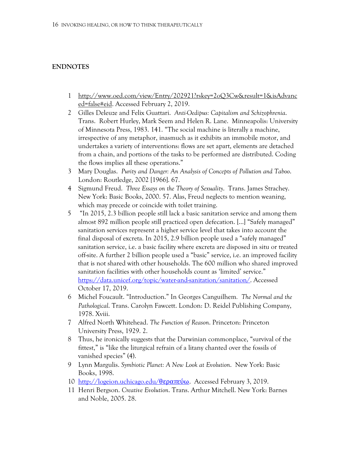### **ENDNOTES**

- 1 [http://www.oed.com/view/Entry/202921?rskey=2oQ3Cw&result=1&isAdvanc](http://www.oed.com/view/Entry/202921?rskey=2oQ3Cw&result=1&isAdvanced=false#eid) [ed=false#eid.](http://www.oed.com/view/Entry/202921?rskey=2oQ3Cw&result=1&isAdvanced=false#eid) Accessed February 2, 2019.
- 2 Gilles Deleuze and Felix Guattari. *Anti-Oedipus: Capitalism and Schizophrenia*. Trans. Robert Hurley, Mark Seem and Helen R. Lane. Minneapolis: University of Minnesota Press, 1983. 141. "The social machine is literally a machine, irrespective of any metaphor, inasmuch as it exhibits an immobile motor, and undertakes a variety of interventions: flows are set apart, elements are detached from a chain, and portions of the tasks to be performed are distributed. Coding the flows implies all these operations."
- 3 Mary Douglas. *Purity and Danger: An Analysis of Concepts of Pollution and Taboo*. London: Routledge, 2002 [1966]. 67.
- 4 Sigmund Freud. *Three Essays on the Theory of Sexuality*. Trans. James Strachey. New York: Basic Books, 2000. 57. Alas, Freud neglects to mention weaning, which may precede or coincide with toilet training.
- 5 "In 2015, 2.3 billion people still lack a basic sanitation service and among them almost 892 million people still practiced open defecation. […] "Safely managed" sanitation services represent a higher service level that takes into account the final disposal of excreta. In 2015, 2.9 billion people used a "safely managed" sanitation service, i.e. a basic facility where excreta are disposed in situ or treated off-site. A further 2 billion people used a "basic" service, i.e. an improved facility that is not shared with other households. The 600 million who shared improved sanitation facilities with other households count as 'limited' service." [https://data.unicef.org/topic/water-and-sanitation/sanitation/.](https://data.unicef.org/topic/water-and-sanitation/sanitation/) Accessed October 17, 2019.
- 6 Michel Foucault. "Introduction." In Georges Canguilhem*. The Normal and the Pathological*. Trans. Carolyn Fawcett. London: D. Reidel Publishing Company, 1978. Xviii.
- 7 Alfred North Whitehead. *The Function of Reason*. Princeton: Princeton University Press, 1929. 2.
- 8 Thus, he ironically suggests that the Darwinian commonplace, "survival of the fittest," is "like the liturgical refrain of a litany chanted over the fossils of vanished species" (4).
- 9 Lynn Margulis. *Symbiotic Planet: A New Look at Evolution*. New York: Basic Books, 1998.
- 10 [http://logeion.uchicago.edu/](http://logeion.uchicago.edu/%CE%B8%CE%B5%CF%81%CE%B1%CF%80%CE%B5%CF%8D%CF%89)θεραπεύω. Accessed February 3, 2019.
- 11 Henri Bergson. *Creative Evolution*. Trans. Arthur Mitchell. New York: Barnes and Noble, 2005. 28.